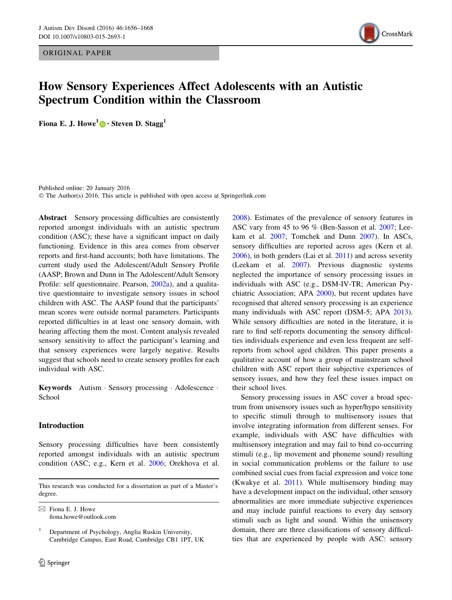ORIGINAL PAPER



# How Sensory Experiences Affect Adolescents with an Autistic Spectrum Condition within the Classroom

Fiona E. J. Howe<sup>1</sup> • Steven D. Stagg<sup>1</sup>

Published online: 20 January 2016 © The Author(s) 2016. This article is published with open access at Springerlink.com

Abstract Sensory processing difficulties are consistently reported amongst individuals with an autistic spectrum condition (ASC); these have a significant impact on daily functioning. Evidence in this area comes from observer reports and first-hand accounts; both have limitations. The current study used the Adolescent/Adult Sensory Profile (AASP; Brown and Dunn in The Adolescent/Adult Sensory Profile: self questionnaire. Pearson, [2002a](#page-10-0)), and a qualitative questionnaire to investigate sensory issues in school children with ASC. The AASP found that the participants' mean scores were outside normal parameters. Participants reported difficulties in at least one sensory domain, with hearing affecting them the most. Content analysis revealed sensory sensitivity to affect the participant's learning and that sensory experiences were largely negative. Results suggest that schools need to create sensory profiles for each individual with ASC.

Keywords Autism - Sensory processing - Adolescence - School

### Introduction

Sensory processing difficulties have been consistently reported amongst individuals with an autistic spectrum condition (ASC; e.g., Kern et al. [2006;](#page-11-0) Orekhova et al.

 $\boxtimes$  Fiona E. J. Howe fiona.howe@outlook.com [2008](#page-11-0)). Estimates of the prevalence of sensory features in ASC vary from 45 to 96 % (Ben-Sasson et al. [2007;](#page-10-0) Leekam et al. [2007;](#page-11-0) Tomchek and Dunn [2007](#page-12-0)). In ASCs, sensory difficulties are reported across ages (Kern et al. [2006](#page-11-0)), in both genders (Lai et al. [2011\)](#page-11-0) and across severity (Leekam et al. [2007\)](#page-11-0). Previous diagnostic systems neglected the importance of sensory processing issues in individuals with ASC (e.g., DSM-IV-TR; American Psychiatric Association; APA [2000](#page-10-0)), but recent updates have recognised that altered sensory processing is an experience many individuals with ASC report (DSM-5; APA [2013](#page-10-0)). While sensory difficulties are noted in the literature, it is rare to find self-reports documenting the sensory difficulties individuals experience and even less frequent are selfreports from school aged children. This paper presents a qualitative account of how a group of mainstream school children with ASC report their subjective experiences of sensory issues, and how they feel these issues impact on their school lives.

Sensory processing issues in ASC cover a broad spectrum from unisensory issues such as hyper/hypo sensitivity to specific stimuli through to multisensory issues that involve integrating information from different senses. For example, individuals with ASC have difficulties with multisensory integration and may fail to bind co-occurring stimuli (e.g., lip movement and phoneme sound) resulting in social communication problems or the failure to use combined social cues from facial expression and voice tone (Kwakye et al. [2011\)](#page-11-0). While multisensory binding may have a development impact on the individual, other sensory abnormalities are more immediate subjective experiences and may include painful reactions to every day sensory stimuli such as light and sound. Within the unisensory domain, there are three classifications of sensory difficulties that are experienced by people with ASC: sensory

This research was conducted for a dissertation as part of a Master's degree.

<sup>1</sup> Department of Psychology, Anglia Ruskin University, Cambridge Campus, East Road, Cambridge CB1 1PT, UK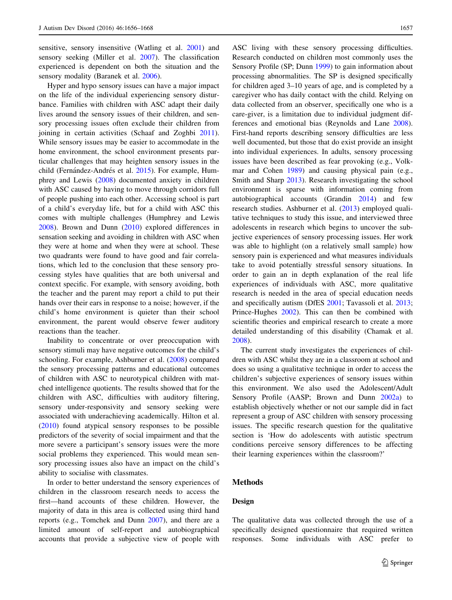sensitive, sensory insensitive (Watling et al. [2001](#page-12-0)) and sensory seeking (Miller et al. [2007\)](#page-11-0). The classification experienced is dependent on both the situation and the sensory modality (Baranek et al. [2006](#page-10-0)).

Hyper and hypo sensory issues can have a major impact on the life of the individual experiencing sensory disturbance. Families with children with ASC adapt their daily lives around the sensory issues of their children, and sensory processing issues often exclude their children from joining in certain activities (Schaaf and Zoghbi [2011](#page-11-0)). While sensory issues may be easier to accommodate in the home environment, the school environment presents particular challenges that may heighten sensory issues in the child (Fernández-Andrés et al. [2015](#page-11-0)). For example, Humphrey and Lewis [\(2008](#page-11-0)) documented anxiety in children with ASC caused by having to move through corridors full of people pushing into each other. Accessing school is part of a child's everyday life, but for a child with ASC this comes with multiple challenges (Humphrey and Lewis [2008\)](#page-11-0). Brown and Dunn ([2010\)](#page-10-0) explored differences in sensation seeking and avoiding in children with ASC when they were at home and when they were at school. These two quadrants were found to have good and fair correlations, which led to the conclusion that these sensory processing styles have qualities that are both universal and context specific. For example, with sensory avoiding, both the teacher and the parent may report a child to put their hands over their ears in response to a noise; however, if the child's home environment is quieter than their school environment, the parent would observe fewer auditory reactions than the teacher.

Inability to concentrate or over preoccupation with sensory stimuli may have negative outcomes for the child's schooling. For example, Ashburner et al. [\(2008](#page-10-0)) compared the sensory processing patterns and educational outcomes of children with ASC to neurotypical children with matched intelligence quotients. The results showed that for the children with ASC, difficulties with auditory filtering, sensory under-responsivity and sensory seeking were associated with underachieving academically. Hilton et al. [\(2010](#page-11-0)) found atypical sensory responses to be possible predictors of the severity of social impairment and that the more severe a participant's sensory issues were the more social problems they experienced. This would mean sensory processing issues also have an impact on the child's ability to socialise with classmates.

In order to better understand the sensory experiences of children in the classroom research needs to access the first—hand accounts of these children. However, the majority of data in this area is collected using third hand reports (e.g., Tomchek and Dunn [2007\)](#page-12-0), and there are a limited amount of self-report and autobiographical accounts that provide a subjective view of people with ASC living with these sensory processing difficulties. Research conducted on children most commonly uses the Sensory Profile (SP; Dunn [1999](#page-11-0)) to gain information about processing abnormalities. The SP is designed specifically for children aged 3–10 years of age, and is completed by a caregiver who has daily contact with the child. Relying on data collected from an observer, specifically one who is a care-giver, is a limitation due to individual judgment differences and emotional bias (Reynolds and Lane [2008](#page-11-0)). First-hand reports describing sensory difficulties are less well documented, but those that do exist provide an insight into individual experiences. In adults, sensory processing issues have been described as fear provoking (e.g., Volkmar and Cohen [1989](#page-12-0)) and causing physical pain (e.g., Smith and Sharp [2013\)](#page-11-0). Research investigating the school environment is sparse with information coming from autobiographical accounts (Grandin [2014\)](#page-11-0) and few research studies. Ashburner et al. ([2013\)](#page-10-0) employed qualitative techniques to study this issue, and interviewed three adolescents in research which begins to uncover the subjective experiences of sensory processing issues. Her work was able to highlight (on a relatively small sample) how sensory pain is experienced and what measures individuals take to avoid potentially stressful sensory situations. In order to gain an in depth explanation of the real life experiences of individuals with ASC, more qualitative research is needed in the area of special education needs and specifically autism (DfES [2001;](#page-11-0) Tavassoli et al. [2013](#page-11-0); Prince-Hughes [2002\)](#page-11-0). This can then be combined with scientific theories and empirical research to create a more detailed understanding of this disability (Chamak et al. [2008](#page-11-0)).

The current study investigates the experiences of children with ASC whilst they are in a classroom at school and does so using a qualitative technique in order to access the children's subjective experiences of sensory issues within this environment. We also used the Adolescent/Adult Sensory Profile (AASP; Brown and Dunn [2002a](#page-10-0)) to establish objectively whether or not our sample did in fact represent a group of ASC children with sensory processing issues. The specific research question for the qualitative section is 'How do adolescents with autistic spectrum conditions perceive sensory differences to be affecting their learning experiences within the classroom?'

### Methods

#### Design

The qualitative data was collected through the use of a specifically designed questionnaire that required written responses. Some individuals with ASC prefer to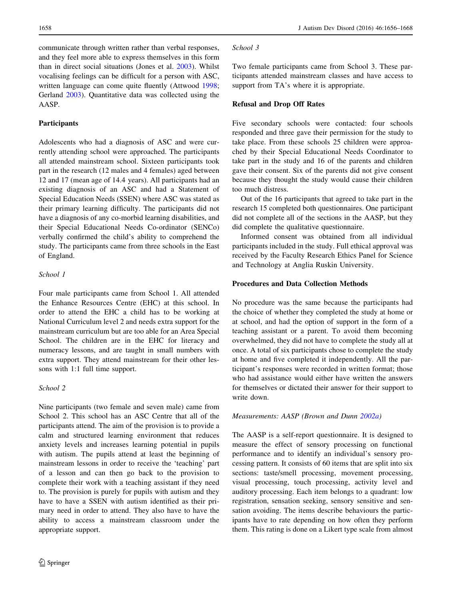communicate through written rather than verbal responses, and they feel more able to express themselves in this form than in direct social situations (Jones et al. [2003\)](#page-11-0). Whilst vocalising feelings can be difficult for a person with ASC, written language can come quite fluently (Attwood [1998](#page-10-0); Gerland [2003](#page-11-0)). Quantitative data was collected using the AASP.

### **Participants**

Adolescents who had a diagnosis of ASC and were currently attending school were approached. The participants all attended mainstream school. Sixteen participants took part in the research (12 males and 4 females) aged between 12 and 17 (mean age of 14.4 years). All participants had an existing diagnosis of an ASC and had a Statement of Special Education Needs (SSEN) where ASC was stated as their primary learning difficulty. The participants did not have a diagnosis of any co-morbid learning disabilities, and their Special Educational Needs Co-ordinator (SENCo) verbally confirmed the child's ability to comprehend the study. The participants came from three schools in the East of England.

#### School 1

Four male participants came from School 1. All attended the Enhance Resources Centre (EHC) at this school. In order to attend the EHC a child has to be working at National Curriculum level 2 and needs extra support for the mainstream curriculum but are too able for an Area Special School. The children are in the EHC for literacy and numeracy lessons, and are taught in small numbers with extra support. They attend mainstream for their other lessons with 1:1 full time support.

#### School 2

Nine participants (two female and seven male) came from School 2. This school has an ASC Centre that all of the participants attend. The aim of the provision is to provide a calm and structured learning environment that reduces anxiety levels and increases learning potential in pupils with autism. The pupils attend at least the beginning of mainstream lessons in order to receive the 'teaching' part of a lesson and can then go back to the provision to complete their work with a teaching assistant if they need to. The provision is purely for pupils with autism and they have to have a SSEN with autism identified as their primary need in order to attend. They also have to have the ability to access a mainstream classroom under the appropriate support.

#### School 3

Two female participants came from School 3. These participants attended mainstream classes and have access to support from TA's where it is appropriate.

#### Refusal and Drop Off Rates

Five secondary schools were contacted: four schools responded and three gave their permission for the study to take place. From these schools 25 children were approached by their Special Educational Needs Coordinator to take part in the study and 16 of the parents and children gave their consent. Six of the parents did not give consent because they thought the study would cause their children too much distress.

Out of the 16 participants that agreed to take part in the research 15 completed both questionnaires. One participant did not complete all of the sections in the AASP, but they did complete the qualitative questionnaire.

Informed consent was obtained from all individual participants included in the study. Full ethical approval was received by the Faculty Research Ethics Panel for Science and Technology at Anglia Ruskin University.

#### Procedures and Data Collection Methods

No procedure was the same because the participants had the choice of whether they completed the study at home or at school, and had the option of support in the form of a teaching assistant or a parent. To avoid them becoming overwhelmed, they did not have to complete the study all at once. A total of six participants chose to complete the study at home and five completed it independently. All the participant's responses were recorded in written format; those who had assistance would either have written the answers for themselves or dictated their answer for their support to write down.

#### Measurements: AASP (Brown and Dunn [2002a\)](#page-10-0)

The AASP is a self-report questionnaire. It is designed to measure the effect of sensory processing on functional performance and to identify an individual's sensory processing pattern. It consists of 60 items that are split into six sections: taste/smell processing, movement processing, visual processing, touch processing, activity level and auditory processing. Each item belongs to a quadrant: low registration, sensation seeking, sensory sensitive and sensation avoiding. The items describe behaviours the participants have to rate depending on how often they perform them. This rating is done on a Likert type scale from almost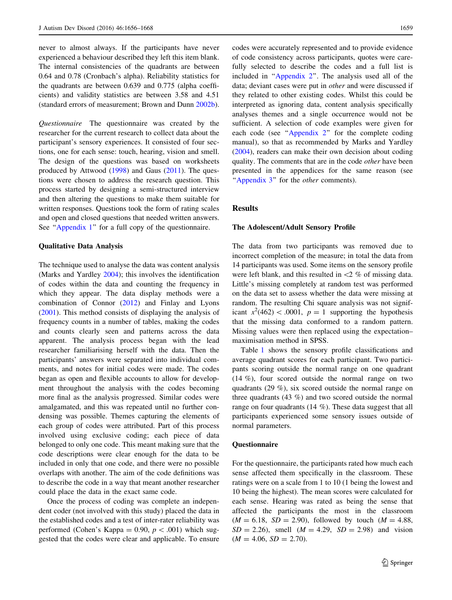never to almost always. If the participants have never experienced a behaviour described they left this item blank. The internal consistencies of the quadrants are between 0.64 and 0.78 (Cronbach's alpha). Reliability statistics for the quadrants are between 0.639 and 0.775 (alpha coefficients) and validity statistics are between 3.58 and 4.51 (standard errors of measurement; Brown and Dunn [2002b](#page-10-0)).

Questionnaire The questionnaire was created by the researcher for the current research to collect data about the participant's sensory experiences. It consisted of four sections, one for each sense: touch, hearing, vision and smell. The design of the questions was based on worksheets produced by Attwood [\(1998\)](#page-10-0) and Gaus [\(2011](#page-11-0)). The questions were chosen to address the research question. This process started by designing a semi-structured interview and then altering the questions to make them suitable for written responses. Questions took the form of rating scales and open and closed questions that needed written answers. See "Appendix 1" for a full copy of the questionnaire.

#### Qualitative Data Analysis

The technique used to analyse the data was content analysis (Marks and Yardley [2004](#page-11-0)); this involves the identification of codes within the data and counting the frequency in which they appear. The data display methods were a combination of Connor [\(2012](#page-11-0)) and Finlay and Lyons [\(2001](#page-11-0)). This method consists of displaying the analysis of frequency counts in a number of tables, making the codes and counts clearly seen and patterns across the data apparent. The analysis process began with the lead researcher familiarising herself with the data. Then the participants' answers were separated into individual comments, and notes for initial codes were made. The codes began as open and flexible accounts to allow for development throughout the analysis with the codes becoming more final as the analysis progressed. Similar codes were amalgamated, and this was repeated until no further condensing was possible. Themes capturing the elements of each group of codes were attributed. Part of this process involved using exclusive coding; each piece of data belonged to only one code. This meant making sure that the code descriptions were clear enough for the data to be included in only that one code, and there were no possible overlaps with another. The aim of the code definitions was to describe the code in a way that meant another researcher could place the data in the exact same code.

Once the process of coding was complete an independent coder (not involved with this study) placed the data in the established codes and a test of inter-rater reliability was performed (Cohen's Kappa = 0.90,  $p < .001$ ) which suggested that the codes were clear and applicable. To ensure codes were accurately represented and to provide evidence of code consistency across participants, quotes were carefully selected to describe the codes and a full list is included in '['Appendix 2](#page-8-0)''. The analysis used all of the data; deviant cases were put in other and were discussed if they related to other existing codes. Whilst this could be interpreted as ignoring data, content analysis specifically analyses themes and a single occurrence would not be sufficient. A selection of code examples were given for each code (see ''[Appendix 2](#page-8-0)'' for the complete coding manual), so that as recommended by Marks and Yardley [\(2004](#page-11-0)), readers can make their own decision about coding quality. The comments that are in the code other have been presented in the appendices for the same reason (see "[Appendix 3](#page-9-0)" for the *other* comments).

### **Results**

#### The Adolescent/Adult Sensory Profile

The data from two participants was removed due to incorrect completion of the measure; in total the data from 14 participants was used. Some items on the sensory profile were left blank, and this resulted in  $\langle 2 \rangle$  % of missing data. Little's missing completely at random test was performed on the data set to assess whether the data were missing at random. The resulting Chi square analysis was not significant  $x^2(462) < .0001$ ,  $p = 1$  supporting the hypothesis that the missing data conformed to a random pattern. Missing values were then replaced using the expectation– maximisation method in SPSS.

Table [1](#page-4-0) shows the sensory profile classifications and average quadrant scores for each participant. Two participants scoring outside the normal range on one quadrant (14 %), four scored outside the normal range on two quadrants (29 %), six scored outside the normal range on three quadrants (43 %) and two scored outside the normal range on four quadrants (14 %). These data suggest that all participants experienced some sensory issues outside of normal parameters.

#### **Ouestionnaire**

For the questionnaire, the participants rated how much each sense affected them specifically in the classroom. These ratings were on a scale from 1 to 10 (1 being the lowest and 10 being the highest). The mean scores were calculated for each sense. Hearing was rated as being the sense that affected the participants the most in the classroom  $(M = 6.18, SD = 2.90)$ , followed by touch  $(M = 4.88,$  $SD = 2.26$ , smell  $(M = 4.29, SD = 2.98)$  and vision  $(M = 4.06, SD = 2.70).$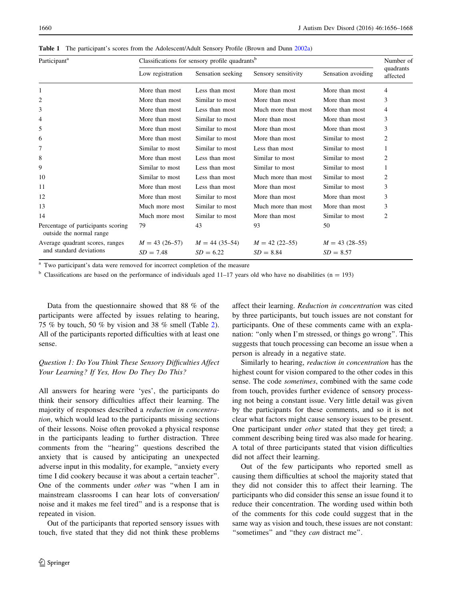<span id="page-4-0"></span>Table 1 The participant's scores from the Adolescent/Adult Sensory Profile (Brown and Dunn [2002a\)](#page-10-0)

| Participant <sup>a</sup>                                       | Classifications for sensory profile quadrants <sup>b</sup> |                   |                     |                    |                       |  |
|----------------------------------------------------------------|------------------------------------------------------------|-------------------|---------------------|--------------------|-----------------------|--|
|                                                                | Low registration                                           | Sensation seeking | Sensory sensitivity | Sensation avoiding | quadrants<br>affected |  |
| 1                                                              | More than most                                             | Less than most    | More than most      | More than most     | 4                     |  |
| $\overline{2}$                                                 | More than most                                             | Similar to most   | More than most      | More than most     | 3                     |  |
| 3                                                              | More than most                                             | Less than most    | Much more than most | More than most     | 4                     |  |
| 4                                                              | More than most                                             | Similar to most   | More than most      | More than most     | 3                     |  |
| 5                                                              | More than most                                             | Similar to most   | More than most      | More than most     | 3                     |  |
| 6                                                              | More than most                                             | Similar to most   | More than most      | Similar to most    | 2                     |  |
| 7                                                              | Similar to most                                            | Similar to most   | Less than most      | Similar to most    | 1                     |  |
| 8                                                              | More than most                                             | Less than most    | Similar to most     | Similar to most    | 2                     |  |
| 9                                                              | Similar to most                                            | Less than most    | Similar to most     | Similar to most    | 1                     |  |
| 10                                                             | Similar to most                                            | Less than most    | Much more than most | Similar to most    | 2                     |  |
| 11                                                             | More than most                                             | Less than most    | More than most      | Similar to most    | 3                     |  |
| 12                                                             | More than most                                             | Similar to most   | More than most      | More than most     | 3                     |  |
| 13                                                             | Much more most                                             | Similar to most   | Much more than most | More than most     | 3                     |  |
| 14                                                             | Much more most                                             | Similar to most   | More than most      | Similar to most    | 2                     |  |
| Percentage of participants scoring<br>outside the normal range | 79                                                         | 43                | 93                  | 50                 |                       |  |
| Average quadrant scores, ranges                                | $M = 43(26-57)$                                            | $M = 44(35-54)$   | $M = 42(22 - 55)$   | $M = 43(28-55)$    |                       |  |
| and standard deviations                                        | $SD = 7.48$                                                | $SD = 6.22$       | $SD = 8.84$         | $SD = 8.57$        |                       |  |

<sup>a</sup> Two participant's data were removed for incorrect completion of the measure

 $<sup>b</sup>$  Classifications are based on the performance of individuals aged 11–17 years old who have no disabilities (n = 193)</sup>

Data from the questionnaire showed that 88 % of the participants were affected by issues relating to hearing, 75 % by touch, 50 % by vision and 38 % smell (Table [2](#page-5-0)). All of the participants reported difficulties with at least one sense.

### Question 1: Do You Think These Sensory Difficulties Affect Your Learning? If Yes, How Do They Do This?

All answers for hearing were 'yes', the participants do think their sensory difficulties affect their learning. The majority of responses described a reduction in concentration, which would lead to the participants missing sections of their lessons. Noise often provoked a physical response in the participants leading to further distraction. Three comments from the ''hearing'' questions described the anxiety that is caused by anticipating an unexpected adverse input in this modality, for example, ''anxiety every time I did cookery because it was about a certain teacher''. One of the comments under other was ''when I am in mainstream classrooms I can hear lots of conversation/ noise and it makes me feel tired'' and is a response that is repeated in vision.

Out of the participants that reported sensory issues with touch, five stated that they did not think these problems affect their learning. Reduction in concentration was cited by three participants, but touch issues are not constant for participants. One of these comments came with an explanation: "only when I'm stressed, or things go wrong". This suggests that touch processing can become an issue when a person is already in a negative state.

Similarly to hearing, reduction in concentration has the highest count for vision compared to the other codes in this sense. The code sometimes, combined with the same code from touch, provides further evidence of sensory processing not being a constant issue. Very little detail was given by the participants for these comments, and so it is not clear what factors might cause sensory issues to be present. One participant under other stated that they get tired; a comment describing being tired was also made for hearing. A total of three participants stated that vision difficulties did not affect their learning.

Out of the few participants who reported smell as causing them difficulties at school the majority stated that they did not consider this to affect their learning. The participants who did consider this sense an issue found it to reduce their concentration. The wording used within both of the comments for this code could suggest that in the same way as vision and touch, these issues are not constant: "sometimes" and "they can distract me".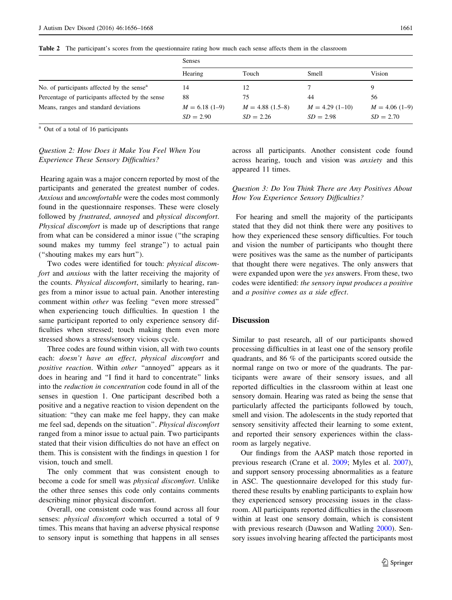|                                                        | <b>Senses</b>   |                   |                  |                 |  |
|--------------------------------------------------------|-----------------|-------------------|------------------|-----------------|--|
|                                                        | Hearing         | Touch             | Smell            | Vision          |  |
| No. of participants affected by the sense <sup>a</sup> | 14              | 12                |                  |                 |  |
| Percentage of participants affected by the sense       | 88              | 75                | 44               | 56              |  |
| Means, ranges and standard deviations                  | $M = 6.18(1-9)$ | $M = 4.88(1.5-8)$ | $M = 4.29(1-10)$ | $M = 4.06(1-9)$ |  |
|                                                        | $SD = 2.90$     | $SD = 2.26$       | $SD = 2.98$      | $SD = 2.70$     |  |

<span id="page-5-0"></span>Table 2 The participant's scores from the questionnaire rating how much each sense affects them in the classroom

<sup>a</sup> Out of a total of 16 participants

### Question 2: How Does it Make You Feel When You Experience These Sensory Difficulties?

Hearing again was a major concern reported by most of the participants and generated the greatest number of codes. Anxious and uncomfortable were the codes most commonly found in the questionnaire responses. These were closely followed by frustrated, annoyed and physical discomfort. Physical discomfort is made up of descriptions that range from what can be considered a minor issue (''the scraping sound makes my tummy feel strange'') to actual pain (''shouting makes my ears hurt'').

Two codes were identified for touch: physical discomfort and *anxious* with the latter receiving the majority of the counts. Physical discomfort, similarly to hearing, ranges from a minor issue to actual pain. Another interesting comment within other was feeling ''even more stressed'' when experiencing touch difficulties. In question 1 the same participant reported to only experience sensory difficulties when stressed; touch making them even more stressed shows a stress/sensory vicious cycle.

Three codes are found within vision, all with two counts each: doesn't have an effect, physical discomfort and positive reaction. Within other ''annoyed'' appears as it does in hearing and ''I find it hard to concentrate'' links into the reduction in concentration code found in all of the senses in question 1. One participant described both a positive and a negative reaction to vision dependent on the situation: "they can make me feel happy, they can make me feel sad, depends on the situation''. Physical discomfort ranged from a minor issue to actual pain. Two participants stated that their vision difficulties do not have an effect on them. This is consistent with the findings in question 1 for vision, touch and smell.

The only comment that was consistent enough to become a code for smell was physical discomfort. Unlike the other three senses this code only contains comments describing minor physical discomfort.

Overall, one consistent code was found across all four senses: physical discomfort which occurred a total of 9 times. This means that having an adverse physical response to sensory input is something that happens in all senses across all participants. Another consistent code found across hearing, touch and vision was anxiety and this appeared 11 times.

### Question 3: Do You Think There are Any Positives About How You Experience Sensory Difficulties?

For hearing and smell the majority of the participants stated that they did not think there were any positives to how they experienced these sensory difficulties. For touch and vision the number of participants who thought there were positives was the same as the number of participants that thought there were negatives. The only answers that were expanded upon were the yes answers. From these, two codes were identified: the sensory input produces a positive and a positive comes as a side effect.

### Discussion

Similar to past research, all of our participants showed processing difficulties in at least one of the sensory profile quadrants, and 86 % of the participants scored outside the normal range on two or more of the quadrants. The participants were aware of their sensory issues, and all reported difficulties in the classroom within at least one sensory domain. Hearing was rated as being the sense that particularly affected the participants followed by touch, smell and vision. The adolescents in the study reported that sensory sensitivity affected their learning to some extent, and reported their sensory experiences within the classroom as largely negative.

Our findings from the AASP match those reported in previous research (Crane et al. [2009;](#page-11-0) Myles et al. [2007](#page-11-0)), and support sensory processing abnormalities as a feature in ASC. The questionnaire developed for this study furthered these results by enabling participants to explain how they experienced sensory processing issues in the classroom. All participants reported difficulties in the classroom within at least one sensory domain, which is consistent with previous research (Dawson and Watling [2000](#page-11-0)). Sensory issues involving hearing affected the participants most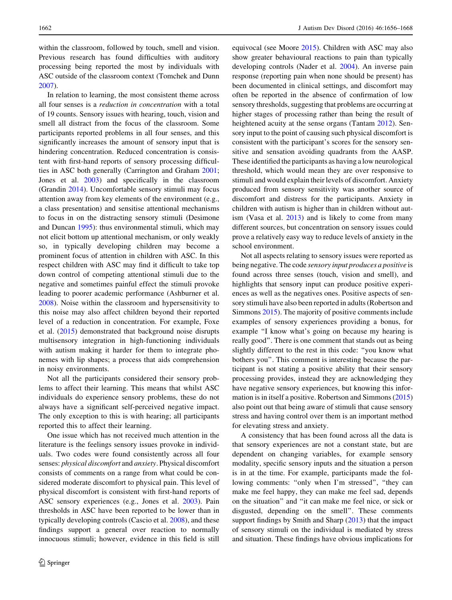within the classroom, followed by touch, smell and vision. Previous research has found difficulties with auditory processing being reported the most by individuals with ASC outside of the classroom context (Tomchek and Dunn [2007\)](#page-12-0).

In relation to learning, the most consistent theme across all four senses is a reduction in concentration with a total of 19 counts. Sensory issues with hearing, touch, vision and smell all distract from the focus of the classroom. Some participants reported problems in all four senses, and this significantly increases the amount of sensory input that is hindering concentration. Reduced concentration is consistent with first-hand reports of sensory processing difficulties in ASC both generally (Carrington and Graham [2001](#page-10-0); Jones et al. [2003\)](#page-11-0) and specifically in the classroom (Grandin [2014](#page-11-0)). Uncomfortable sensory stimuli may focus attention away from key elements of the environment (e.g., a class presentation) and sensitise attentional mechanisms to focus in on the distracting sensory stimuli (Desimone and Duncan [1995](#page-11-0)): thus environmental stimuli, which may not elicit bottom up attentional mechanism, or only weakly so, in typically developing children may become a prominent focus of attention in children with ASC. In this respect children with ASC may find it difficult to take top down control of competing attentional stimuli due to the negative and sometimes painful effect the stimuli provoke leading to poorer academic performance (Ashburner et al. [2008\)](#page-10-0). Noise within the classroom and hypersensitivity to this noise may also affect children beyond their reported level of a reduction in concentration. For example, Foxe et al. ([2015\)](#page-11-0) demonstrated that background noise disrupts multisensory integration in high-functioning individuals with autism making it harder for them to integrate phonemes with lip shapes; a process that aids comprehension in noisy environments.

Not all the participants considered their sensory problems to affect their learning. This means that whilst ASC individuals do experience sensory problems, these do not always have a significant self-perceived negative impact. The only exception to this is with hearing; all participants reported this to affect their learning.

One issue which has not received much attention in the literature is the feelings sensory issues provoke in individuals. Two codes were found consistently across all four senses: physical discomfort and anxiety. Physical discomfort consists of comments on a range from what could be considered moderate discomfort to physical pain. This level of physical discomfort is consistent with first-hand reports of ASC sensory experiences (e.g., Jones et al. [2003\)](#page-11-0). Pain thresholds in ASC have been reported to be lower than in typically developing controls (Cascio et al. [2008\)](#page-10-0), and these findings support a general over reaction to normally innocuous stimuli; however, evidence in this field is still equivocal (see Moore [2015](#page-11-0)). Children with ASC may also show greater behavioural reactions to pain than typically developing controls (Nader et al. [2004\)](#page-11-0). An inverse pain response (reporting pain when none should be present) has been documented in clinical settings, and discomfort may often be reported in the absence of confirmation of low sensory thresholds, suggesting that problems are occurring at higher stages of processing rather than being the result of heightened acuity at the sense organs (Tantam [2012](#page-11-0)). Sensory input to the point of causing such physical discomfort is consistent with the participant's scores for the sensory sensitive and sensation avoiding quadrants from the AASP. These identified the participants as having a low neurological threshold, which would mean they are over responsive to stimuli and would explain their levels of discomfort. Anxiety produced from sensory sensitivity was another source of discomfort and distress for the participants. Anxiety in children with autism is higher than in children without autism (Vasa et al. [2013](#page-12-0)) and is likely to come from many different sources, but concentration on sensory issues could prove a relatively easy way to reduce levels of anxiety in the school environment.

Not all aspects relating to sensory issues were reported as being negative. The code *sensory input produces a positive* is found across three senses (touch, vision and smell), and highlights that sensory input can produce positive experiences as well as the negatives ones. Positive aspects of sensory stimuli have also been reported in adults (Robertson and Simmons [2015\)](#page-11-0). The majority of positive comments include examples of sensory experiences providing a bonus, for example ''I know what's going on because my hearing is really good''. There is one comment that stands out as being slightly different to the rest in this code: ''you know what bothers you''. This comment is interesting because the participant is not stating a positive ability that their sensory processing provides, instead they are acknowledging they have negative sensory experiences, but knowing this information is in itself a positive. Robertson and Simmons ([2015\)](#page-11-0) also point out that being aware of stimuli that cause sensory stress and having control over them is an important method for elevating stress and anxiety.

A consistency that has been found across all the data is that sensory experiences are not a constant state, but are dependent on changing variables, for example sensory modality, specific sensory inputs and the situation a person is in at the time. For example, participants made the following comments: "only when I'm stressed", "they can make me feel happy, they can make me feel sad, depends on the situation'' and ''it can make me feel nice, or sick or disgusted, depending on the smell''. These comments support findings by Smith and Sharp ([2013\)](#page-11-0) that the impact of sensory stimuli on the individual is mediated by stress and situation. These findings have obvious implications for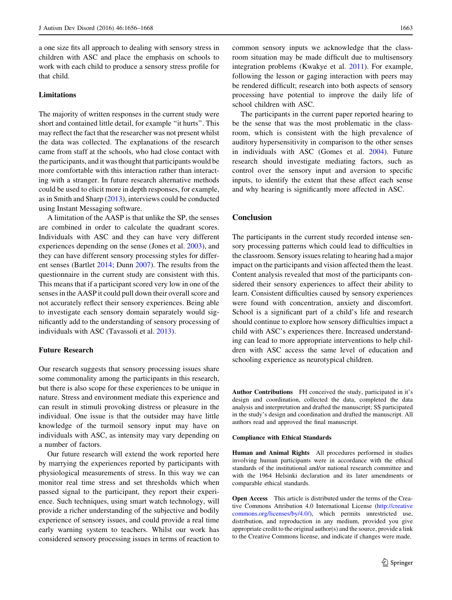a one size fits all approach to dealing with sensory stress in children with ASC and place the emphasis on schools to work with each child to produce a sensory stress profile for that child.

### **Limitations**

The majority of written responses in the current study were short and contained little detail, for example ''it hurts''. This may reflect the fact that the researcher was not present whilst the data was collected. The explanations of the research came from staff at the schools, who had close contact with the participants, and it was thought that participants would be more comfortable with this interaction rather than interacting with a stranger. In future research alternative methods could be used to elicit more in depth responses, for example, as in Smith and Sharp [\(2013](#page-11-0)), interviews could be conducted using Instant Messaging software.

A limitation of the AASP is that unlike the SP, the senses are combined in order to calculate the quadrant scores. Individuals with ASC and they can have very different experiences depending on the sense (Jones et al. [2003](#page-11-0)), and they can have different sensory processing styles for different senses (Bartlet [2014;](#page-10-0) Dunn [2007\)](#page-11-0). The results from the questionnaire in the current study are consistent with this. This means that if a participant scored very low in one of the senses in the AASP it could pull down their overall score and not accurately reflect their sensory experiences. Being able to investigate each sensory domain separately would significantly add to the understanding of sensory processing of individuals with ASC (Tavassoli et al. [2013](#page-11-0)).

#### Future Research

Our research suggests that sensory processing issues share some commonality among the participants in this research, but there is also scope for these experiences to be unique in nature. Stress and environment mediate this experience and can result in stimuli provoking distress or pleasure in the individual. One issue is that the outsider may have little knowledge of the turmoil sensory input may have on individuals with ASC, as intensity may vary depending on a number of factors.

Our future research will extend the work reported here by marrying the experiences reported by participants with physiological measurements of stress. In this way we can monitor real time stress and set thresholds which when passed signal to the participant, they report their experience. Such techniques, using smart watch technology, will provide a richer understanding of the subjective and bodily experience of sensory issues, and could provide a real time early warning system to teachers. Whilst our work has considered sensory processing issues in terms of reaction to common sensory inputs we acknowledge that the classroom situation may be made difficult due to multisensory integration problems (Kwakye et al. [2011](#page-11-0)). For example, following the lesson or gaging interaction with peers may be rendered difficult; research into both aspects of sensory processing have potential to improve the daily life of school children with ASC.

The participants in the current paper reported hearing to be the sense that was the most problematic in the classroom, which is consistent with the high prevalence of auditory hypersensitivity in comparison to the other senses in individuals with ASC (Gomes et al. [2004](#page-11-0)). Future research should investigate mediating factors, such as control over the sensory input and aversion to specific inputs, to identify the extent that these affect each sense and why hearing is significantly more affected in ASC.

#### Conclusion

The participants in the current study recorded intense sensory processing patterns which could lead to difficulties in the classroom. Sensory issues relating to hearing had a major impact on the participants and vision affected them the least. Content analysis revealed that most of the participants considered their sensory experiences to affect their ability to learn. Consistent difficulties caused by sensory experiences were found with concentration, anxiety and discomfort. School is a significant part of a child's life and research should continue to explore how sensory difficulties impact a child with ASC's experiences there. Increased understanding can lead to more appropriate interventions to help children with ASC access the same level of education and schooling experience as neurotypical children.

Author Contributions FH conceived the study, participated in it's design and coordination, collected the data, completed the data analysis and interpretation and drafted the manuscript; SS participated in the study's design and coordination and drafted the manuscript. All authors read and approved the final manuscript.

#### Compliance with Ethical Standards

Human and Animal Rights All procedures performed in studies involving human participants were in accordance with the ethical standards of the institutional and/or national research committee and with the 1964 Helsinki declaration and its later amendments or comparable ethical standards.

Open Access This article is distributed under the terms of the Creative Commons Attribution 4.0 International License ([http://creative](http://creativecommons.org/licenses/by/4.0/) [commons.org/licenses/by/4.0/](http://creativecommons.org/licenses/by/4.0/)), which permits unrestricted use, distribution, and reproduction in any medium, provided you give appropriate credit to the original author(s) and the source, provide a link to the Creative Commons license, and indicate if changes were made.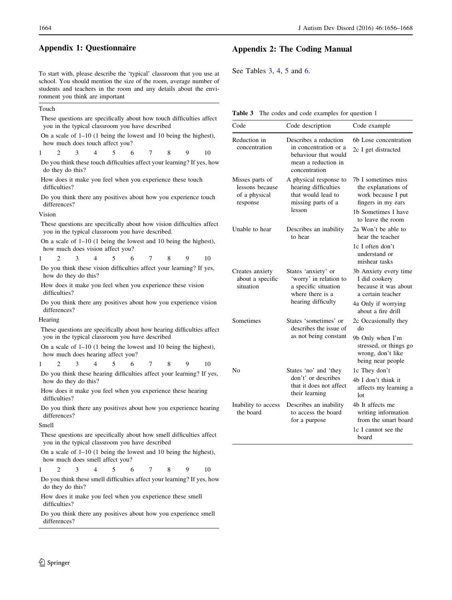## <span id="page-8-0"></span>Appendix 1: Questionnaire

To start with, please describe the 'typical' classroom that you use at school. You should mention the size of the room, average number of students and teachers in the room and any details about the environment you think are important

|        | ronment you think are important                                                                                         |   |                |   |   |   |   |   |                                                                         |
|--------|-------------------------------------------------------------------------------------------------------------------------|---|----------------|---|---|---|---|---|-------------------------------------------------------------------------|
| Touch  |                                                                                                                         |   |                |   |   |   |   |   |                                                                         |
|        | These questions are specifically about how touch difficulties affect<br>you in the typical classroom you have described |   |                |   |   |   |   |   |                                                                         |
|        | On a scale of $1-10$ (1 being the lowest and 10 being the highest),<br>how much does touch affect you?                  |   |                |   |   |   |   |   |                                                                         |
| 1      | 2                                                                                                                       | 3 | 4              | 5 | 6 | 7 | 8 | 9 | 10                                                                      |
|        | do they do this?                                                                                                        |   |                |   |   |   |   |   | Do you think these touch difficulties affect your learning? If yes, how |
|        | How does it make you feel when you experience these touch<br>difficulties?                                              |   |                |   |   |   |   |   |                                                                         |
|        | Do you think there any positives about how you experience touch<br>differences?                                         |   |                |   |   |   |   |   |                                                                         |
| Vision |                                                                                                                         |   |                |   |   |   |   |   |                                                                         |
|        | you in the typical classroom you have described.                                                                        |   |                |   |   |   |   |   | These questions are specifically about how vision difficulties affect   |
|        | On a scale of $1-10$ (1 being the lowest and 10 being the highest),<br>how much does vision affect you?                 |   |                |   |   |   |   |   |                                                                         |
| 1      | $\overline{c}$                                                                                                          | 3 | $\overline{4}$ | 5 | 6 | 7 | 8 | 9 | 10                                                                      |
|        | Do you think these vision difficulties affect your learning? If yes,<br>how do they do this?                            |   |                |   |   |   |   |   |                                                                         |
|        | How does it make you feel when you experience these vision<br>difficulties?                                             |   |                |   |   |   |   |   |                                                                         |
|        | Do you think there any positives about how you experience vision<br>differences?                                        |   |                |   |   |   |   |   |                                                                         |
|        | Hearing                                                                                                                 |   |                |   |   |   |   |   |                                                                         |
|        | you in the typical classroom you have described                                                                         |   |                |   |   |   |   |   | These questions are specifically about how hearing difficulties affect  |
|        | On a scale of $1-10$ (1 being the lowest and 10 being the highest),<br>how much does hearing affect you?                |   |                |   |   |   |   |   |                                                                         |
| 1      | $\overline{c}$                                                                                                          | 3 | $\overline{4}$ | 5 | 6 | 7 | 8 | 9 | 10                                                                      |
|        | how do they do this?                                                                                                    |   |                |   |   |   |   |   | Do you think these hearing difficulties affect your learning? If yes,   |
|        | How does it make you feel when you experience these hearing<br>difficulties?                                            |   |                |   |   |   |   |   |                                                                         |
|        | differences?                                                                                                            |   |                |   |   |   |   |   | Do you think there any positives about how you experience hearing       |
| Smell  |                                                                                                                         |   |                |   |   |   |   |   |                                                                         |
|        | These questions are specifically about how smell difficulties affect<br>you in the typical classroom you have described |   |                |   |   |   |   |   |                                                                         |
|        | On a scale of 1-10 (1 being the lowest and 10 being the highest),<br>how much does smell affect you?                    |   |                |   |   |   |   |   |                                                                         |
| 1      | 2                                                                                                                       | 3 | 4              | 5 | 6 | 7 | 8 | 9 | 10                                                                      |
|        | do they do this?                                                                                                        |   |                |   |   |   |   |   | Do you think these smell difficulties affect your learning? If yes, how |
|        | How does it make you feel when you experience these smell<br>difficulties?                                              |   |                |   |   |   |   |   |                                                                         |
|        |                                                                                                                         |   |                |   |   |   |   |   |                                                                         |

Do you think there any positives about how you experience smell differences?

### Appendix 2: The Coding Manual

See Tables 3, [4,](#page-9-0) [5](#page-9-0) and [6.](#page-9-0)

|  |  |  |  |  | <b>Table 3</b> The codes and code examples for question 1 |  |  |  |
|--|--|--|--|--|-----------------------------------------------------------|--|--|--|
|--|--|--|--|--|-----------------------------------------------------------|--|--|--|

| Code                                                            | Code description                                                                                                | Code example                                                                                                                       |
|-----------------------------------------------------------------|-----------------------------------------------------------------------------------------------------------------|------------------------------------------------------------------------------------------------------------------------------------|
| Reduction in<br>concentration                                   | Describes a reduction<br>in concentration or a<br>behaviour that would<br>mean a reduction in<br>concentration  | 6b Lose concentration<br>2c I get distracted                                                                                       |
| Misses parts of<br>lessons because<br>of a physical<br>response | A physical response to<br>hearing difficulties<br>that would lead to<br>missing parts of a<br>lesson            | 7b I sometimes miss<br>the explanations of<br>work because I put<br>fingers in my ears<br>1b Sometimes I have<br>to leave the room |
| Unable to hear                                                  | Describes an inability<br>to hear                                                                               | 2a Won't be able to<br>hear the teacher                                                                                            |
|                                                                 |                                                                                                                 | 1c I often don't<br>understand or<br>mishear tasks                                                                                 |
| Creates anxiety<br>about a specific<br>situation                | States 'anxiety' or<br>'worry' in relation to<br>a specific situation<br>where there is a<br>hearing difficulty | 3b Anxiety every time<br>I did cookery<br>because it was about<br>a certain teacher                                                |
|                                                                 |                                                                                                                 | 4a Only if worrying<br>about a fire drill                                                                                          |
| Sometimes                                                       | States 'sometimes' or<br>describes the issue of                                                                 | 2c Occasionally they<br>do                                                                                                         |
|                                                                 | as not being constant                                                                                           | 9b Only when I'm<br>stressed, or things go<br>wrong, don't like<br>being near people                                               |
| No                                                              | States 'no' and 'they                                                                                           | 1c They don't                                                                                                                      |
|                                                                 | don't' or describes<br>that it does not affect<br>their learning                                                | 4b I don't think it<br>affects my learning a<br>lot                                                                                |
| Inability to access<br>the board                                | Describes an inability<br>to access the board<br>for a purpose                                                  | 4b It affects me<br>writing information<br>from the smart board                                                                    |
|                                                                 |                                                                                                                 | 1c I cannot see the<br>board                                                                                                       |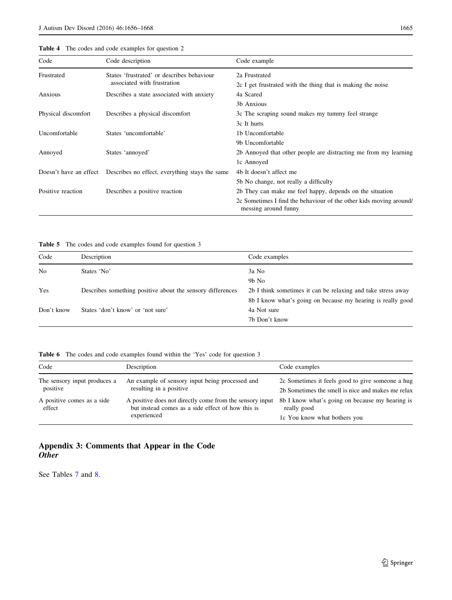<span id="page-9-0"></span>

|  |  |  |  |  | <b>Table 4</b> The codes and code examples for question 2 |  |  |  |
|--|--|--|--|--|-----------------------------------------------------------|--|--|--|
|--|--|--|--|--|-----------------------------------------------------------|--|--|--|

| Code                | Code description                                                      | Code example                                                                               |  |  |
|---------------------|-----------------------------------------------------------------------|--------------------------------------------------------------------------------------------|--|--|
| Frustrated          | States 'frustrated' or describes behaviour                            | 2a Frustrated                                                                              |  |  |
|                     | associated with frustration                                           | 2c I get frustrated with the thing that is making the noise                                |  |  |
| Anxious             | Describes a state associated with anxiety                             | 4a Scared                                                                                  |  |  |
|                     |                                                                       | 3b Anxious                                                                                 |  |  |
| Physical discomfort | Describes a physical discomfort                                       | 3c The scraping sound makes my tummy feel strange                                          |  |  |
|                     |                                                                       | 3c It hurts                                                                                |  |  |
| Uncomfortable       | States 'uncomfortable'                                                | 1b Uncomfortable                                                                           |  |  |
|                     |                                                                       | 9 <sub>b</sub> Uncomfortable                                                               |  |  |
| Annoyed             | States 'annoyed'                                                      | 2b Annoyed that other people are distracting me from my learning                           |  |  |
|                     |                                                                       | 1c Annoyed                                                                                 |  |  |
|                     | Doesn't have an effect Describes no effect, everything stays the same | 4b It doesn't affect me                                                                    |  |  |
|                     |                                                                       | 5b No change, not really a difficulty                                                      |  |  |
| Positive reaction   | Describes a positive reaction                                         | 2b They can make me feel happy, depends on the situation                                   |  |  |
|                     |                                                                       | 2c Sometimes I find the behaviour of the other kids moving around/<br>messing around funny |  |  |

Table 5 The codes and code examples found for question 3

| Code           | Description                                                | Code examples                                                |
|----------------|------------------------------------------------------------|--------------------------------------------------------------|
| N <sub>0</sub> | States 'No'                                                | 3a No                                                        |
|                |                                                            | 9b No                                                        |
| Yes            | Describes something positive about the sensory differences | 2b I think sometimes it can be relaxing and take stress away |
|                |                                                            | 8b I know what's going on because my hearing is really good  |
| Don't know     | States 'don't know' or 'not sure'                          | 4a Not sure                                                  |
|                |                                                            | 7 <sub>b</sub> Don't know                                    |

Table 6 The codes and code examples found within the 'Yes' code for question 3

| Code                                     | Description                                                                                                                  | Code examples                                                                                         |
|------------------------------------------|------------------------------------------------------------------------------------------------------------------------------|-------------------------------------------------------------------------------------------------------|
| The sensory input produces a<br>positive | An example of sensory input being processed and<br>resulting in a positive                                                   | 2c Sometimes it feels good to give someone a hug<br>2b Sometimes the smell is nice and makes me relax |
| A positive comes as a side<br>effect     | A positive does not directly come from the sensory input<br>but instead comes as a side effect of how this is<br>experienced | 8b I know what's going on because my hearing is<br>really good<br>1c You know what bothers you        |

### Appendix 3: Comments that Appear in the Code **Other**

See Tables [7](#page-10-0) and [8.](#page-10-0)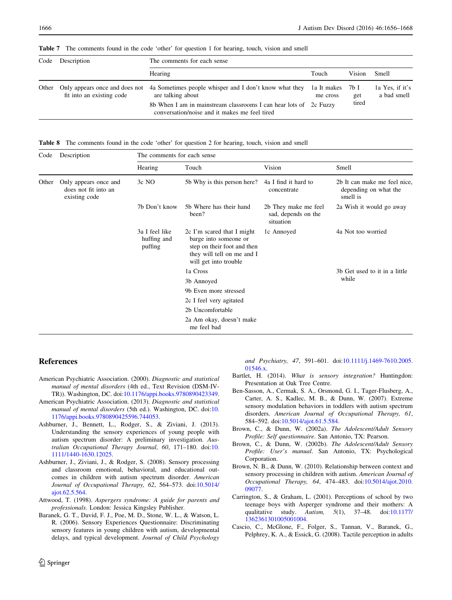<span id="page-10-0"></span>

| Code  | Description               | The comments for each sense                                                                                                                                                                                                      |                         |                      |                                |  |  |
|-------|---------------------------|----------------------------------------------------------------------------------------------------------------------------------------------------------------------------------------------------------------------------------|-------------------------|----------------------|--------------------------------|--|--|
|       |                           | Hearing                                                                                                                                                                                                                          | Touch                   | Vision               | Smell                          |  |  |
| Other | fit into an existing code | Only appears once and does not 4a Sometimes people whisper and I don't know what they<br>are talking about<br>8b When I am in mainstream classrooms I can hear lots of 2c Fuzzy<br>conversation/noise and it makes me feel tired | la It makes<br>me cross | 7b I<br>get<br>tired | la Yes, if it's<br>a bad smell |  |  |

Table 8 The comments found in the code 'other' for question 2 for hearing, touch, vision and smell

| Code  | Description                                                    | The comments for each sense              |                                                                                                                                           |                                                          |                                                                   |  |
|-------|----------------------------------------------------------------|------------------------------------------|-------------------------------------------------------------------------------------------------------------------------------------------|----------------------------------------------------------|-------------------------------------------------------------------|--|
|       |                                                                | Hearing                                  | Touch                                                                                                                                     | Vision                                                   | Smell                                                             |  |
| Other | Only appears once and<br>does not fit into an<br>existing code | 3c NO                                    | 5b Why is this person here?                                                                                                               | 4a I find it hard to<br>concentrate                      | 2b It can make me feel nice,<br>depending on what the<br>smell is |  |
|       |                                                                | 7b Don't know                            | 5b Where has their hand<br>been?                                                                                                          | 2b They make me feel<br>sad, depends on the<br>situation | 2a Wish it would go away                                          |  |
|       |                                                                | 3a I feel like<br>huffing and<br>puffing | 2c I'm scared that I might<br>barge into someone or<br>step on their foot and then<br>they will tell on me and I<br>will get into trouble | 1c Annoyed                                               | 4a Not too worried                                                |  |
|       |                                                                |                                          | 1a Cross                                                                                                                                  |                                                          | 3b Get used to it in a little                                     |  |
|       |                                                                |                                          | 3b Annoyed                                                                                                                                |                                                          | while                                                             |  |
|       |                                                                |                                          | 9b Even more stressed                                                                                                                     |                                                          |                                                                   |  |
|       |                                                                |                                          | 2c I feel very agitated                                                                                                                   |                                                          |                                                                   |  |
|       |                                                                |                                          | 2b Uncomfortable                                                                                                                          |                                                          |                                                                   |  |
|       |                                                                |                                          | 2a Am okay, doesn't make<br>me feel bad                                                                                                   |                                                          |                                                                   |  |

### References

- American Psychiatric Association. (2000). Diagnostic and statistical manual of mental disorders (4th ed., Text Revision (DSM-IV-TR)). Washington, DC. doi:[10.1176/appi.books.9780890423349](http://dx.doi.org/10.1176/appi.books.9780890423349).
- American Psychiatric Association. (2013). Diagnostic and statistical manual of mental disorders (5th ed.). Washington, DC. doi:[10.](http://dx.doi.org/10.1176/appi.books.9780890425596.744053) [1176/appi.books.9780890425596.744053](http://dx.doi.org/10.1176/appi.books.9780890425596.744053).
- Ashburner, J., Bennett, L., Rodger, S., & Ziviani, J. (2013). Understanding the sensory experiences of young people with autism spectrum disorder: A preliminary investigation. Australian Occupational Therapy Journal, 60, 171–180. doi:[10.](http://dx.doi.org/10.1111/1440-1630.12025) [1111/1440-1630.12025](http://dx.doi.org/10.1111/1440-1630.12025).
- Ashburner, J., Ziviani, J., & Rodger, S. (2008). Sensory processing and classroom emotional, behavioral, and educational outcomes in children with autism spectrum disorder. American Journal of Occupational Therapy, 62, 564–573. doi[:10.5014/](http://dx.doi.org/10.5014/ajot.62.5.564) [ajot.62.5.564.](http://dx.doi.org/10.5014/ajot.62.5.564)
- Attwood, T. (1998). Aspergers syndrome: A guide for parents and professionals. London: Jessica Kingsley Publisher.
- Baranek, G. T., David, F. J., Poe, M. D., Stone, W. L., & Watson, L. R. (2006). Sensory Experiences Questionnaire: Discriminating sensory features in young children with autism, developmental delays, and typical development. Journal of Child Psychology

and Psychiatry, 47, 591–601. doi:[10.1111/j.1469-7610.2005.](http://dx.doi.org/10.1111/j.1469-7610.2005.01546.x) [01546.x.](http://dx.doi.org/10.1111/j.1469-7610.2005.01546.x)

- Bartlet, H. (2014). What is sensory integration? Huntingdon: Presentation at Oak Tree Centre.
- Ben-Sasson, A., Cermak, S. A., Orsmond, G. I., Tager-Flusberg, A., Carter, A. S., Kadlec, M. B., & Dunn, W. (2007). Extreme sensory modulation behaviors in toddlers with autism spectrum disorders. American Journal of Occupational Therapy, 61, 584–592. doi:[10.5014/ajot.61.5.584](http://dx.doi.org/10.5014/ajot.61.5.584).
- Brown, C., & Dunn, W. (2002a). The Adolescent/Adult Sensory Profile: Self questionnaire. San Antonio, TX: Pearson.
- Brown, C., & Dunn, W. (2002b). The Adolescent/Adult Sensory Profile: User's manual. San Antonio, TX: Psychological Corporation.
- Brown, N. B., & Dunn, W. (2010). Relationship between context and sensory processing in children with autism. American Journal of Occupational Therapy, 64, 474–483. doi[:10.5014/ajot.2010.](http://dx.doi.org/10.5014/ajot.2010.09077) [09077](http://dx.doi.org/10.5014/ajot.2010.09077).
- Carrington, S., & Graham, L. (2001). Perceptions of school by two teenage boys with Asperger syndrome and their mothers: A qualitative study. Autism, 5(1), 37–48. doi[:10.1177/](http://dx.doi.org/10.1177/1362361301005001004) [1362361301005001004.](http://dx.doi.org/10.1177/1362361301005001004)
- Cascio, C., McGlone, F., Folger, S., Tannan, V., Baranek, G., Pelphrey, K. A., & Essick, G. (2008). Tactile perception in adults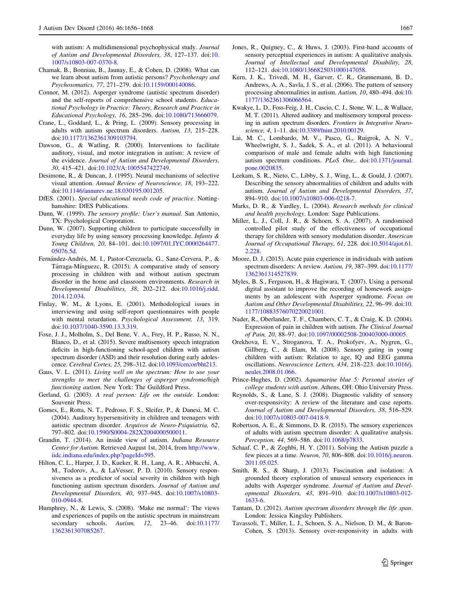<span id="page-11-0"></span>with autism: A multidimensional psychophysical study. Journal of Autism and Developmental Disorders, 38, 127–137. doi:[10.](http://dx.doi.org/10.1007/s10803-007-0370-8) [1007/s10803-007-0370-8](http://dx.doi.org/10.1007/s10803-007-0370-8).

- Chamak, B., Bonniau, B., Jaunay, E., & Cohen, D. (2008). What can we learn about autism from autistic persons? Psychotherapy and Psychosomatics, 77, 271–279. doi[:10.1159/000140086](http://dx.doi.org/10.1159/000140086).
- Connor, M. (2012). Asperger syndrome (autistic spectrum disorder) and the self-reports of comprehensive school students. Educational Psychology in Practice: Theory, Research and Practice in Educational Psychology, 16, 285–296. doi:[10.1080/713666079.](http://dx.doi.org/10.1080/713666079)
- Crane, L., Goddard, L., & Pring, L. (2009). Sensory processing in adults with autism spectrum disorders. Autism, 13, 215–228. doi[:10.1177/1362361309103794.](http://dx.doi.org/10.1177/1362361309103794)
- Dawson, G., & Watling, R. (2000). Interventions to facilitate auditory, visual, and motor integration in autism: A review of the evidence. Journal of Autism and Developmental Disorders, 30, 415–421. doi[:10.1023/A:1005547422749.](http://dx.doi.org/10.1023/A:1005547422749)
- Desimone, R., & Duncan, J. (1995). Neural mechanisms of selective visual attention. Annual Review of Neuroscience, 18, 193–222. doi[:10.1146/annurev.ne.18.030195.001205](http://dx.doi.org/10.1146/annurev.ne.18.030195.001205).
- DfES. (2001). Special educational needs code of practice. Nottinghamshire: DfES Publications.
- Dunn, W. (1999). The sensory profile: User's manual. San Antonio, TX: Psychological Corporation.
- Dunn, W. (2007). Supporting children to participate successfully in everyday life by using sensory processing knowledge. Infants & Young Children, 20, 84–101. doi[:10.1097/01.IYC.0000264477.](http://dx.doi.org/10.1097/01.IYC.0000264477.05076.5d) [05076.5d.](http://dx.doi.org/10.1097/01.IYC.0000264477.05076.5d)
- Fernández-Andrés, M. I., Pastor-Cerezuela, G., Sanz-Cervera, P., & Tárraga-Mínguezc, R. (2015). A comparative study of sensory processing in children with and without autism spectrum disorder in the home and classroom environments. Research in Developmental Disabilities, 38, 202–212. doi:[10.1016/j.ridd.](http://dx.doi.org/10.1016/j.ridd.2014.12.034) [2014.12.034](http://dx.doi.org/10.1016/j.ridd.2014.12.034).
- Finlay, W. M., & Lyons, E. (2001). Methodological issues in interviewing and using self-report questionnaires with people with mental retardation. Psychological Assessment, 13, 319. doi[:10.1037/1040-3590.13.3.319.](http://dx.doi.org/10.1037/1040-3590.13.3.319)
- Foxe, J. J., Molholm, S., Del Bene, V. A., Frey, H. P., Russo, N. N., Blanco, D., et al. (2015). Severe multisensory speech integration deficits in high-functioning school-aged children with autism spectrum disorder (ASD) and their resolution during early adolescence. Cerebral Cortex, 25, 298–312. doi:[10.1093/cercor/bht213.](http://dx.doi.org/10.1093/cercor/bht213)
- Gaus, V. L. (2011). Living well on the spectrum: How to use your strengths to meet the challenges of asperger syndrome/high functioning autism. New York: The Guildford Press.
- Gerland, G. (2003). A real person: Life on the outside. London: Souvenir Press.
- Gomes, E., Rotta, N. T., Pedroso, F. S., Sleifer, P., & Danesi, M. C. (2004). Auditory hypersensitivity in children and teenagers with autistic spectrum disorder. Arquivos de Neuro-Psiquiatria, 62, 797–802. doi:[10.1590/S0004-282X2004000500011](http://dx.doi.org/10.1590/S0004-282X2004000500011).
- Grandin, T. (2014). An inside view of autism. Indiana Resource Center for Autism. Retrieved August 1st, 2014, from [http://www.](http://www.iidc.indiana.edu/index.php?pageId=595) [iidc.indiana.edu/index.php?pageId=595.](http://www.iidc.indiana.edu/index.php?pageId=595)
- Hilton, C. L., Harper, J. D., Kueker, R. H., Lang, A. R., Abbacchi, A. M., Todorov, A., & LaVesser, P. D. (2010). Sensory responsiveness as a predictor of social severity in children with high functioning autism spectrum disorders. Journal of Autism and Developmental Disorders, 40, 937–945. doi:[10.1007/s10803-](http://dx.doi.org/10.1007/s10803-010-0944-8) [010-0944-8.](http://dx.doi.org/10.1007/s10803-010-0944-8)
- Humphrey, N., & Lewis, S. (2008). 'Make me normal': The views and experiences of pupils on the autistic spectrum in mainstream secondary schools. Autism, 12, 23–46. doi[:10.1177/](http://dx.doi.org/10.1177/1362361307085267) [1362361307085267.](http://dx.doi.org/10.1177/1362361307085267)
- Jones, R., Quigney, C., & Huws, J. (2003). First-hand accounts of sensory perceptual experiences in autism: A qualitative analysis. Journal of Intellectual and Developmental Disability, 28, 112–121. doi:[10.1080/1366825031000147058](http://dx.doi.org/10.1080/1366825031000147058).
- Kern, J. K., Trivedi, M. H., Garver, C. R., Grannemann, B. D., Andrews, A. A., Savla, J. S., et al. (2006). The pattern of sensory processing abnormalities in autism. Autism, 10, 480–494. doi:[10.](http://dx.doi.org/10.1177/1362361306066564) [1177/1362361306066564](http://dx.doi.org/10.1177/1362361306066564).
- Kwakye, L. D., Foss-Feig, J. H., Cascio, C. J., Stone, W. L., & Wallace, M. T. (2011). Altered auditory and multisensory temporal processing in autism spectrum disorders. Frontiers in Integrative Neuroscience, 4, 1–11. doi[:10.3389/fnint.2010.00129](http://dx.doi.org/10.3389/fnint.2010.00129).
- Lai, M. C., Lombardo, M. V., Pasco, G., Ruigrok, A. N. V., Wheelwright, S. J., Sadek, S. A., et al. (2011). A behavioural comparison of male and female adults with high functioning autism spectrum conditions. PLoS One,. doi[:10.1371/journal.](http://dx.doi.org/10.1371/journal.pone.0020835) [pone.0020835](http://dx.doi.org/10.1371/journal.pone.0020835).
- Leekam, S. R., Nieto, C., Libby, S. J., Wing, L., & Gould, J. (2007). Describing the sensory abnormalities of children and adults with autism. Journal of Autism and Developmental Disorders, 37, 894–910. doi:[10.1007/s10803-006-0218-7.](http://dx.doi.org/10.1007/s10803-006-0218-7)
- Marks, D. R., & Yardley, L. (2004). Research methods for clinical and health psychology. London: Sage Publications.
- Miller, L. J., Coll, J. R., & Schoen, S. A. (2007). A randomised controlled pilot study of the effectiveness of occupational therapy for children with sensory modulation disorder. American Journal of Occupational Therapy, 61, 228. doi:[10.5014/ajot.61.](http://dx.doi.org/10.5014/ajot.61.2.228) [2.228](http://dx.doi.org/10.5014/ajot.61.2.228).
- Moore, D. J. (2015). Acute pain experience in individuals with autism spectrum disorders: A review. Autism, 19, 387–399. doi[:10.1177/](http://dx.doi.org/10.1177/1362361314527839) [1362361314527839.](http://dx.doi.org/10.1177/1362361314527839)
- Myles, B. S., Ferguson, H., & Hagiwara, T. (2007). Using a personal digital assistant to improve the recording of homework assignments by an adolescent with Asperger syndrome. Focus on Autism and Other Developmental Disabilities, 22, 96-99. doi:[10.](http://dx.doi.org/10.1177/10883576070220021001) [1177/10883576070220021001](http://dx.doi.org/10.1177/10883576070220021001).
- Nader, R., Oberlander, T. F., Chambers, C. T., & Craig, K. D. (2004). Expression of pain in children with autism. The Clinical Journal of Pain, 20, 88–97. doi[:10.1097/00002508-200403000-00005](http://dx.doi.org/10.1097/00002508-200403000-00005).
- Orekhova, E. V., Stroganova, T. A., Prokofyev, A., Nygren, G., Gillberg, C., & Elam, M. (2008). Sensory gating in young children with autism: Relation to age, IQ and EEG gamma oscillations. Neuroscience Letters, 434, 218–223. doi:[10.1016/j.](http://dx.doi.org/10.1016/j.neulet.2008.01.066) [neulet.2008.01.066](http://dx.doi.org/10.1016/j.neulet.2008.01.066).
- Prince-Hughes, D. (2002). Aquamarine blue 5: Personal stories of college students with autism. Athens, OH: Ohio University Press.
- Reynolds, S., & Lane, S. J. (2008). Diagnostic validity of sensory over-responsivity: A review of the literature and case reports. Journal of Autism and Developmental Disorders, 38, 516–529. doi[:10.1007/s10803-007-0418-9](http://dx.doi.org/10.1007/s10803-007-0418-9).
- Robertson, A. E., & Simmons, D. R. (2015). The sensory experiences of adults with autism spectrum disorder: A qualitative analysis. Perception, 44, 569–586. doi:[10.1068/p7833.](http://dx.doi.org/10.1068/p7833)
- Schaaf, C. P., & Zoghbi, H. Y. (2011). Solving the Autism puzzle a few pieces at a time. Neuron, 70, 806–808. doi[:10.1016/j.neuron.](http://dx.doi.org/10.1016/j.neuron.2011.05.025) [2011.05.025](http://dx.doi.org/10.1016/j.neuron.2011.05.025).
- Smith, R. S., & Sharp, J. (2013). Fascination and isolation: A grounded theory exploration of unusual sensory experiences in adults with Asperger syndrome. Journal of Autism and Developmental Disorders, 43, 891–910. doi:[10.1007/s10803-012-](http://dx.doi.org/10.1007/s10803-012-1633-6) [1633-6](http://dx.doi.org/10.1007/s10803-012-1633-6).
- Tantam, D. (2012). Autism spectrum disorders through the life span. London: Jessica Kingsley Publishers.
- Tavassoli, T., Miller, L. J., Schoen, S. A., Nielson, D. M., & Baron-Cohen, S. (2013). Sensory over-responsivity in adults with